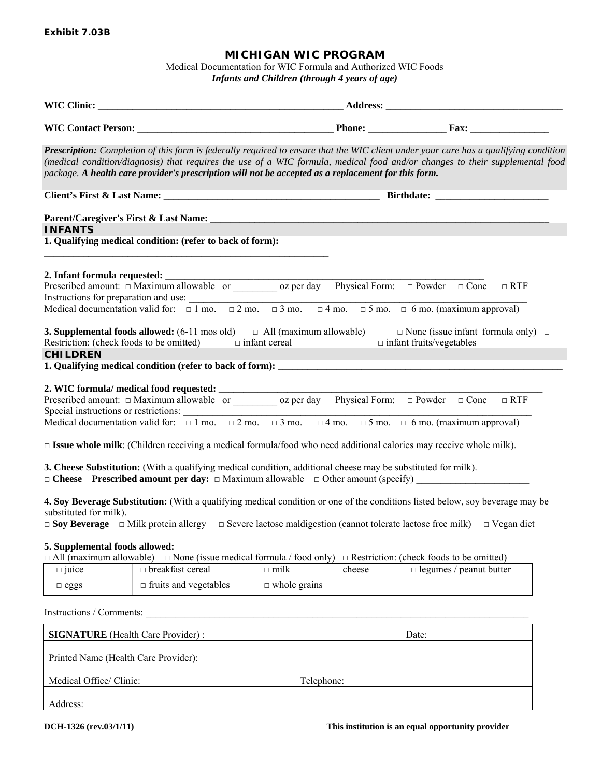## **MICHIGAN WIC PROGRAM**

Medical Documentation for WIC Formula and Authorized WIC Foods *Infants and Children (through 4 years of age)* 

|                                                               |                                                               | package. A health care provider's prescription will not be accepted as a replacement for this form.                                                                                                                                                                                                                                                                                                                                                                                                                                                   | Prescription: Completion of this form is federally required to ensure that the WIC client under your care has a qualifying condition<br>(medical condition/diagnosis) that requires the use of a WIC formula, medical food and/or changes to their supplemental food |  |  |  |  |  |
|---------------------------------------------------------------|---------------------------------------------------------------|-------------------------------------------------------------------------------------------------------------------------------------------------------------------------------------------------------------------------------------------------------------------------------------------------------------------------------------------------------------------------------------------------------------------------------------------------------------------------------------------------------------------------------------------------------|----------------------------------------------------------------------------------------------------------------------------------------------------------------------------------------------------------------------------------------------------------------------|--|--|--|--|--|
|                                                               |                                                               |                                                                                                                                                                                                                                                                                                                                                                                                                                                                                                                                                       |                                                                                                                                                                                                                                                                      |  |  |  |  |  |
|                                                               |                                                               |                                                                                                                                                                                                                                                                                                                                                                                                                                                                                                                                                       |                                                                                                                                                                                                                                                                      |  |  |  |  |  |
| <b>INFANTS</b>                                                | 1. Qualifying medical condition: (refer to back of form):     |                                                                                                                                                                                                                                                                                                                                                                                                                                                                                                                                                       |                                                                                                                                                                                                                                                                      |  |  |  |  |  |
|                                                               |                                                               | Instructions for preparation and use: $\frac{1}{\Box 1 \text{ mo.}} \Box 2 \text{ mo.} \Box 3 \text{ mo.} \Box 4 \text{ mo.} \Box 5 \text{ mo.} \Box 6 \text{ mo.}$ (maximum approval)                                                                                                                                                                                                                                                                                                                                                                |                                                                                                                                                                                                                                                                      |  |  |  |  |  |
| <b>CHILDREN</b>                                               | Restriction: (check foods to be omitted) $\Box$ infant cereal | <b>3. Supplemental foods allowed:</b> $(6-11 \text{ mos old})$ $\Box$ All (maximum allowable)                                                                                                                                                                                                                                                                                                                                                                                                                                                         | $\Box$ None (issue infant formula only) $\Box$<br>$\hfill \Box$<br>infant fruits/vegetables                                                                                                                                                                          |  |  |  |  |  |
|                                                               |                                                               | Prescribed amount: $\Box$ Maximum allowable or $\alpha$ oz per day Physical Form: $\Box$ Powder $\Box$ Conc $\Box$ RTF<br>Special instructions or restrictions:<br>Medical documentation valid for: $\Box$ 1 mo. $\Box$ 2 mo. $\Box$ 3 mo. $\Box$ 4 mo. $\Box$ 5 mo. $\Box$ 6 mo. (maximum approval)<br>$\square$ Issue whole milk: (Children receiving a medical formula/food who need additional calories may receive whole milk).<br>3. Cheese Substitution: (With a qualifying medical condition, additional cheese may be substituted for milk). |                                                                                                                                                                                                                                                                      |  |  |  |  |  |
| substituted for milk).                                        |                                                               | $\Box$ Soy Beverage $\Box$ Milk protein allergy $\Box$ Severe lactose maldigestion (cannot tolerate lactose free milk) $\Box$ Vegan diet                                                                                                                                                                                                                                                                                                                                                                                                              | 4. Soy Beverage Substitution: (With a qualifying medical condition or one of the conditions listed below, soy beverage may be                                                                                                                                        |  |  |  |  |  |
| 5. Supplemental foods allowed:<br>$\Box$ juice<br>$\Box$ eggs | □ breakfast cereal<br>$\Box$ fruits and vegetables            | $\Box$ All (maximum allowable) $\Box$ None (issue medical formula / food only) $\Box$ Restriction: (check foods to be omitted)<br>$\Box$ milk<br>$\Box$ cheese<br>$\Box$ whole grains                                                                                                                                                                                                                                                                                                                                                                 | $\Box$ legumes / peanut butter                                                                                                                                                                                                                                       |  |  |  |  |  |
| Instructions / Comments:                                      |                                                               |                                                                                                                                                                                                                                                                                                                                                                                                                                                                                                                                                       |                                                                                                                                                                                                                                                                      |  |  |  |  |  |
| <b>SIGNATURE</b> (Health Care Provider):                      |                                                               |                                                                                                                                                                                                                                                                                                                                                                                                                                                                                                                                                       | Date:                                                                                                                                                                                                                                                                |  |  |  |  |  |
| Printed Name (Health Care Provider):                          |                                                               |                                                                                                                                                                                                                                                                                                                                                                                                                                                                                                                                                       |                                                                                                                                                                                                                                                                      |  |  |  |  |  |
| Medical Office/ Clinic:                                       |                                                               | Telephone:                                                                                                                                                                                                                                                                                                                                                                                                                                                                                                                                            |                                                                                                                                                                                                                                                                      |  |  |  |  |  |
| Address:                                                      |                                                               |                                                                                                                                                                                                                                                                                                                                                                                                                                                                                                                                                       |                                                                                                                                                                                                                                                                      |  |  |  |  |  |